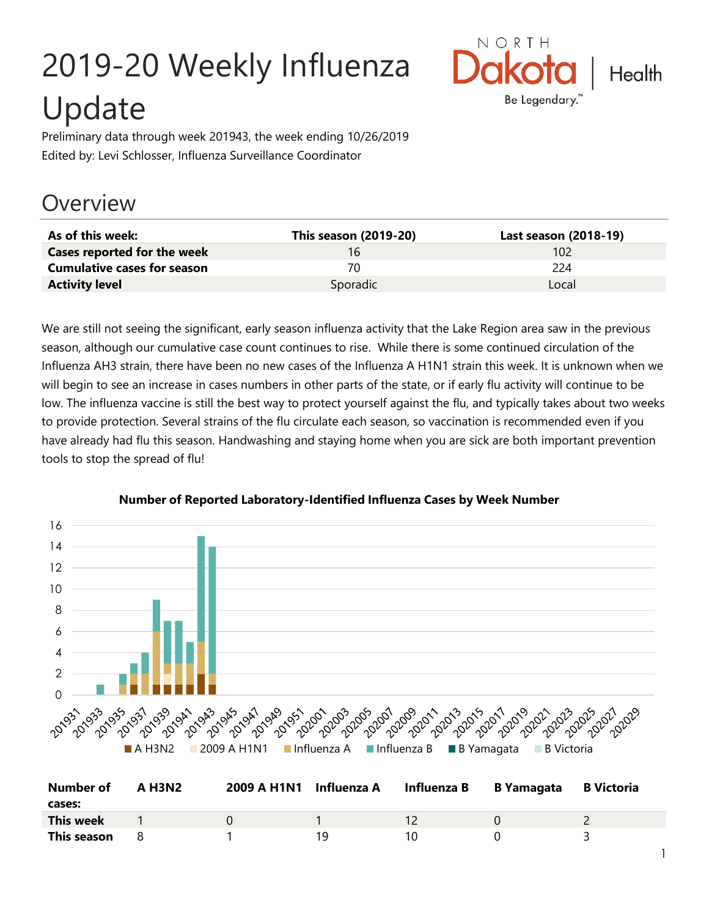# 2019-20 Weekly Influenza Update



Preliminary data through week 201943, the week ending 10/26/2019 Edited by: Levi Schlosser, Influenza Surveillance Coordinator

# **Overview**

| As of this week:                   | This season (2019-20) | Last season (2018-19) |
|------------------------------------|-----------------------|-----------------------|
| <b>Cases reported for the week</b> | 16                    | 102                   |
| <b>Cumulative cases for season</b> | 70                    | 224                   |
| <b>Activity level</b>              | Sporadic              | Local                 |

We are still not seeing the significant, early season influenza activity that the Lake Region area saw in the previous season, although our cumulative case count continues to rise. While there is some continued circulation of the Influenza AH3 strain, there have been no new cases of the Influenza A H1N1 strain this week. It is unknown when we will begin to see an increase in cases numbers in other parts of the state, or if early flu activity will continue to be low. The influenza vaccine is still the best way to protect yourself against the flu, and typically takes about two weeks to provide protection. Several strains of the flu circulate each season, so vaccination is recommended even if you have already had flu this season. Handwashing and staying home when you are sick are both important prevention tools to stop the spread of flu!



#### **Number of Reported Laboratory-Identified Influenza Cases by Week Number**

| <b>Number of</b><br>cases: | <b>A H3N2</b> | 2009 A H1N1 Influenza A |    | Influenza B | <b>B</b> Yamagata | <b>B</b> Victoria |
|----------------------------|---------------|-------------------------|----|-------------|-------------------|-------------------|
| <b>This week</b>           |               |                         |    |             |                   |                   |
| This season                |               |                         | 19 |             |                   |                   |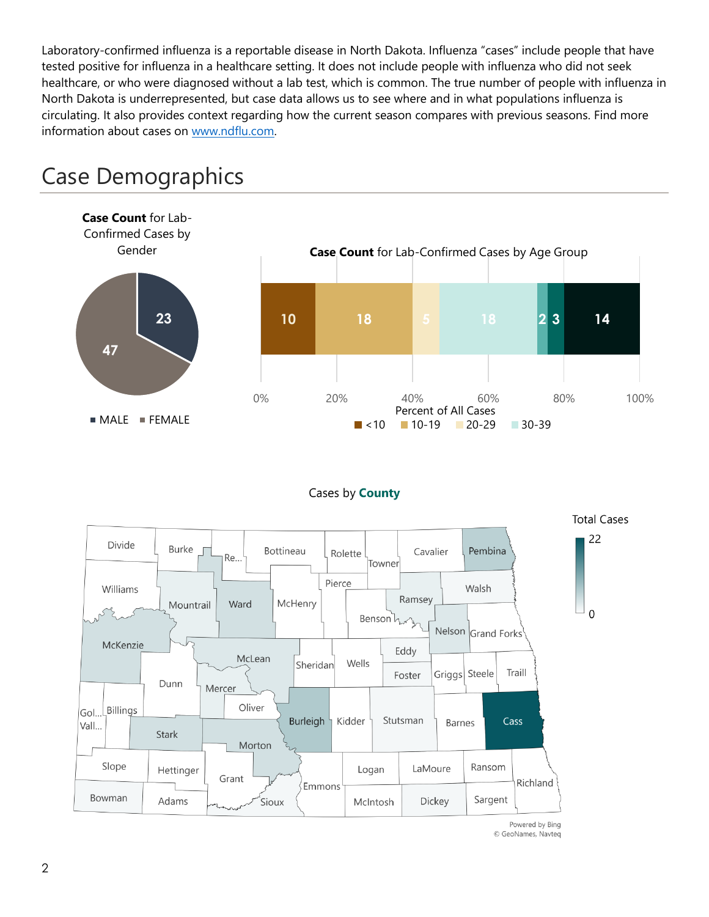Laboratory-confirmed influenza is a reportable disease in North Dakota. Influenza "cases" include people that have tested positive for influenza in a healthcare setting. It does not include people with influenza who did not seek healthcare, or who were diagnosed without a lab test, which is common. The true number of people with influenza in North Dakota is underrepresented, but case data allows us to see where and in what populations influenza is circulating. It also provides context regarding how the current season compares with previous seasons. Find more information about cases on [www.ndflu.com.](file://///nd.gov/doh/DOH-DATA/MSS/DC/PROGRAM/IMMUNE/Immunize/Influenza/Inf18-19/Surveillance/Weekly%20Summaries/www.ndflu.com)



# Case Demographics

#### Cases by **County**



© GeoNames, Navteq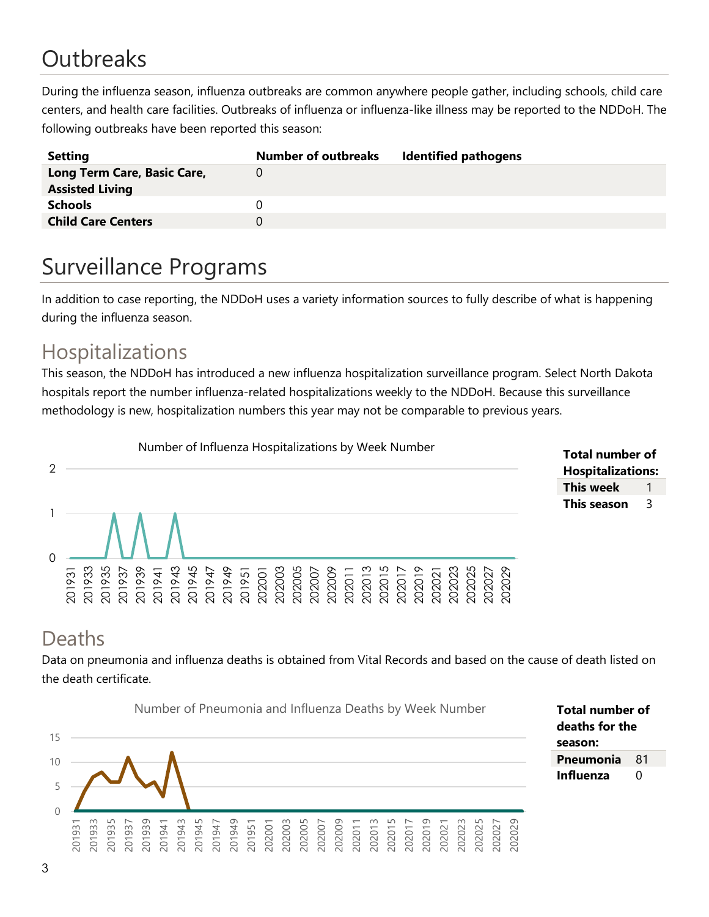# **Outbreaks**

During the influenza season, influenza outbreaks are common anywhere people gather, including schools, child care centers, and health care facilities. Outbreaks of influenza or influenza-like illness may be reported to the NDDoH. The following outbreaks have been reported this season:

| <b>Setting</b>              | <b>Number of outbreaks</b> | <b>Identified pathogens</b> |
|-----------------------------|----------------------------|-----------------------------|
| Long Term Care, Basic Care, |                            |                             |
| <b>Assisted Living</b>      |                            |                             |
| <b>Schools</b>              |                            |                             |
| <b>Child Care Centers</b>   |                            |                             |
|                             |                            |                             |

# Surveillance Programs

In addition to case reporting, the NDDoH uses a variety information sources to fully describe of what is happening during the influenza season.

### Hospitalizations

This season, the NDDoH has introduced a new influenza hospitalization surveillance program. Select North Dakota hospitals report the number influenza-related hospitalizations weekly to the NDDoH. Because this surveillance methodology is new, hospitalization numbers this year may not be comparable to previous years.



#### **Total number of Hospitalizations: This week** 1 **This season** 3

# Deaths

Data on pneumonia and influenza deaths is obtained from Vital Records and based on the cause of death listed on the death certificate.



3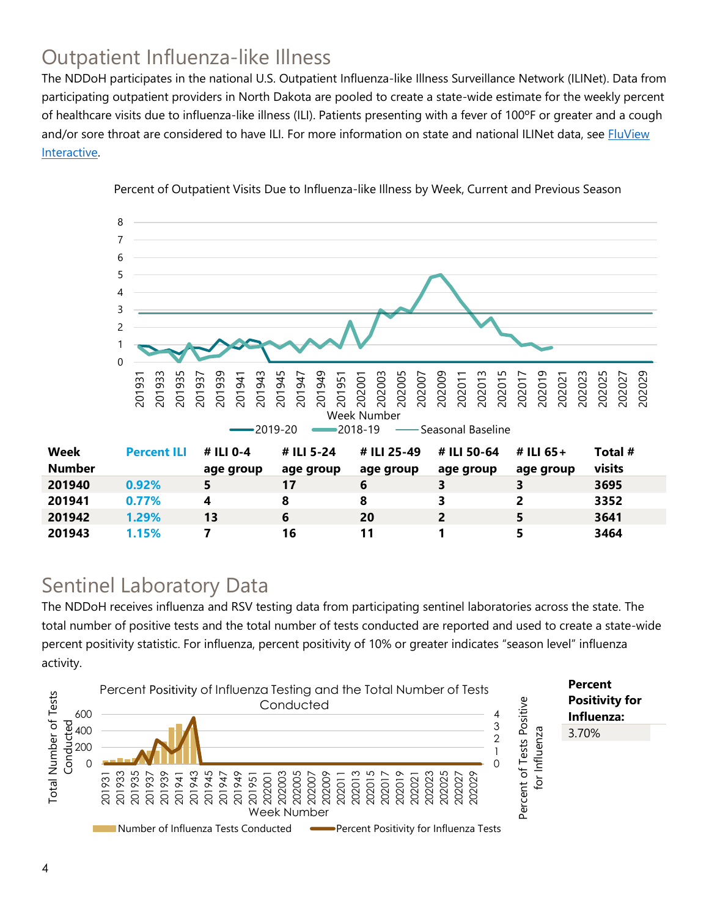# Outpatient Influenza-like Illness

The NDDoH participates in the national U.S. Outpatient Influenza-like Illness Surveillance Network (ILINet). Data from participating outpatient providers in North Dakota are pooled to create a state-wide estimate for the weekly percent of healthcare visits due to influenza-like illness (ILI). Patients presenting with a fever of 100ºF or greater and a cough and/or sore throat are considered to have ILI. For more information on state and national ILINet data, see **FluView** [Interactive.](https://gis.cdc.gov/grasp/fluview/fluportaldashboard.html)



Percent of Outpatient Visits Due to Influenza-like Illness by Week, Current and Previous Season

### Sentinel Laboratory Data

The NDDoH receives influenza and RSV testing data from participating sentinel laboratories across the state. The total number of positive tests and the total number of tests conducted are reported and used to create a state-wide percent positivity statistic. For influenza, percent positivity of 10% or greater indicates "season level" influenza activity.

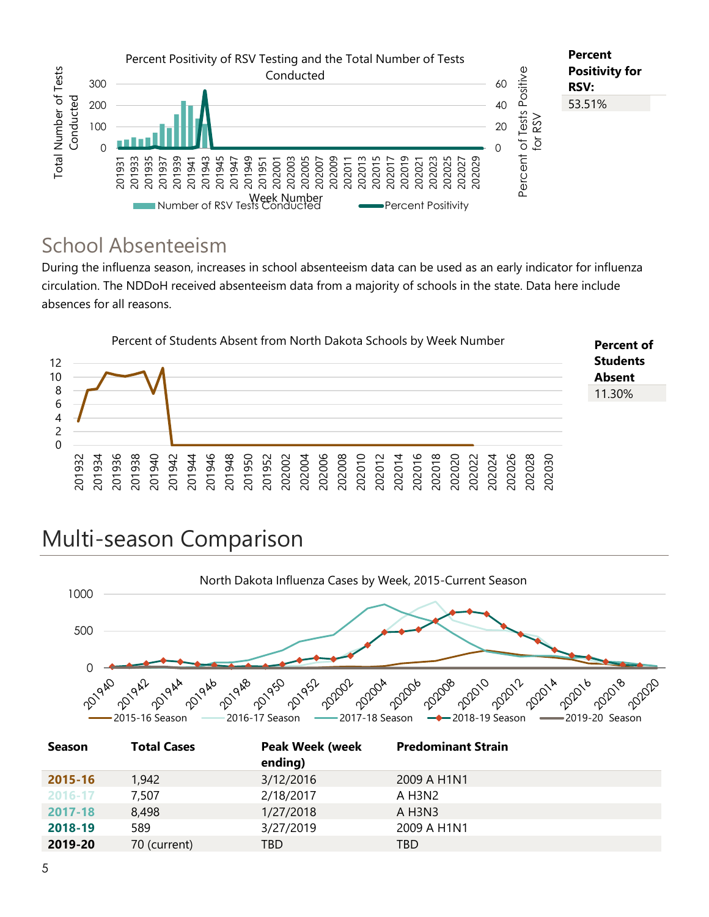

### School Absenteeism

During the influenza season, increases in school absenteeism data can be used as an early indicator for influenza circulation. The NDDoH received absenteeism data from a majority of schools in the state. Data here include absences for all reasons.



# Multi-season Comparison